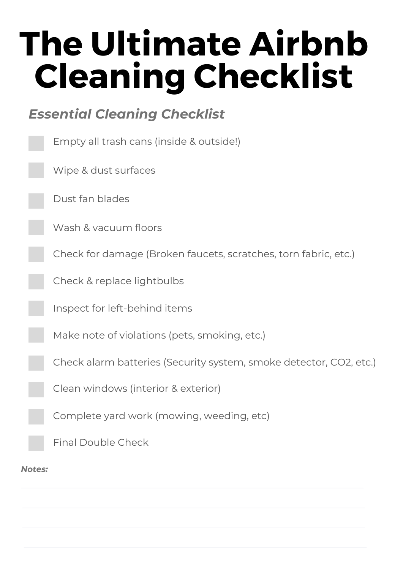#### *Essential Cleaning Checklist*

|               | Empty all trash cans (inside & outside!)                           |
|---------------|--------------------------------------------------------------------|
|               | Wipe & dust surfaces                                               |
|               | Dust fan blades                                                    |
|               | Wash & vacuum floors                                               |
|               | Check for damage (Broken faucets, scratches, torn fabric, etc.)    |
|               | Check & replace lightbulbs                                         |
|               | Inspect for left-behind items                                      |
|               | Make note of violations (pets, smoking, etc.)                      |
|               | Check alarm batteries (Security system, smoke detector, CO2, etc.) |
|               | Clean windows (interior & exterior)                                |
|               | Complete yard work (mowing, weeding, etc)                          |
|               | <b>Final Double Check</b>                                          |
| <b>Notes:</b> |                                                                    |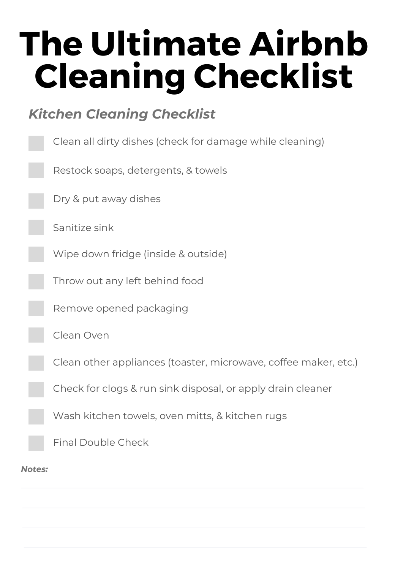### *Kitchen Cleaning Checklist*

|        | Clean all dirty dishes (check for damage while cleaning)        |
|--------|-----------------------------------------------------------------|
|        | Restock soaps, detergents, & towels                             |
|        | Dry & put away dishes                                           |
|        | Sanitize sink                                                   |
|        | Wipe down fridge (inside & outside)                             |
|        | Throw out any left behind food                                  |
|        | Remove opened packaging                                         |
|        | Clean Oven                                                      |
|        | Clean other appliances (toaster, microwave, coffee maker, etc.) |
|        | Check for clogs & run sink disposal, or apply drain cleaner     |
|        | Wash kitchen towels, oven mitts, & kitchen rugs                 |
|        | <b>Final Double Check</b>                                       |
| Notes: |                                                                 |
|        |                                                                 |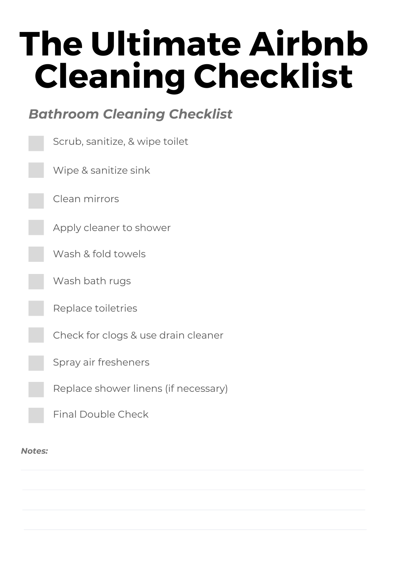#### *Bathroom Cleaning Checklist*

| Scrub, sanitize, & wipe toilet       |
|--------------------------------------|
| Wipe & sanitize sink                 |
| Clean mirrors                        |
| Apply cleaner to shower              |
| Wash & fold towels                   |
| Wash bath rugs                       |
| Replace toiletries                   |
| Check for clogs & use drain cleaner  |
| Spray air fresheners                 |
| Replace shower linens (if necessary) |
| <b>Final Double Check</b>            |

#### *Notes:*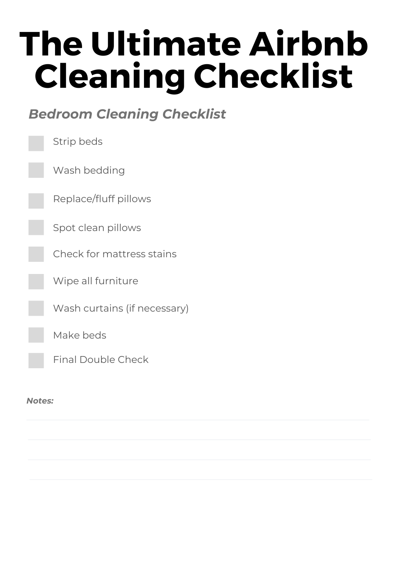#### *Bedroom Cleaning Checklist*



*Notes:*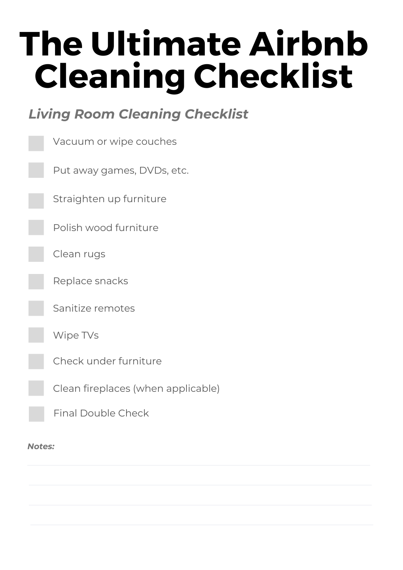### *Living Room Cleaning Checklist*

| Vacuum or wipe couches             |
|------------------------------------|
| Put away games, DVDs, etc.         |
| Straighten up furniture            |
| Polish wood furniture              |
| Clean rugs                         |
| Replace snacks                     |
| Sanitize remotes                   |
| Wipe TVs                           |
| Check under furniture              |
| Clean fireplaces (when applicable) |
| <b>Final Double Check</b>          |

*Notes:*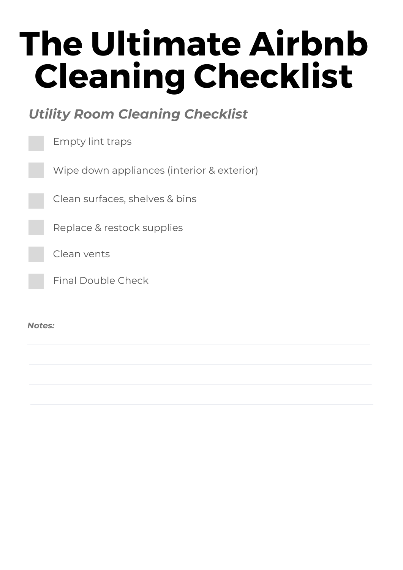#### *Utility Room Cleaning Checklist*

|        | <b>Empty lint traps</b>                    |
|--------|--------------------------------------------|
|        | Wipe down appliances (interior & exterior) |
|        | Clean surfaces, shelves & bins             |
|        | Replace & restock supplies                 |
|        | Clean vents                                |
|        | <b>Final Double Check</b>                  |
|        |                                            |
| Notes: |                                            |